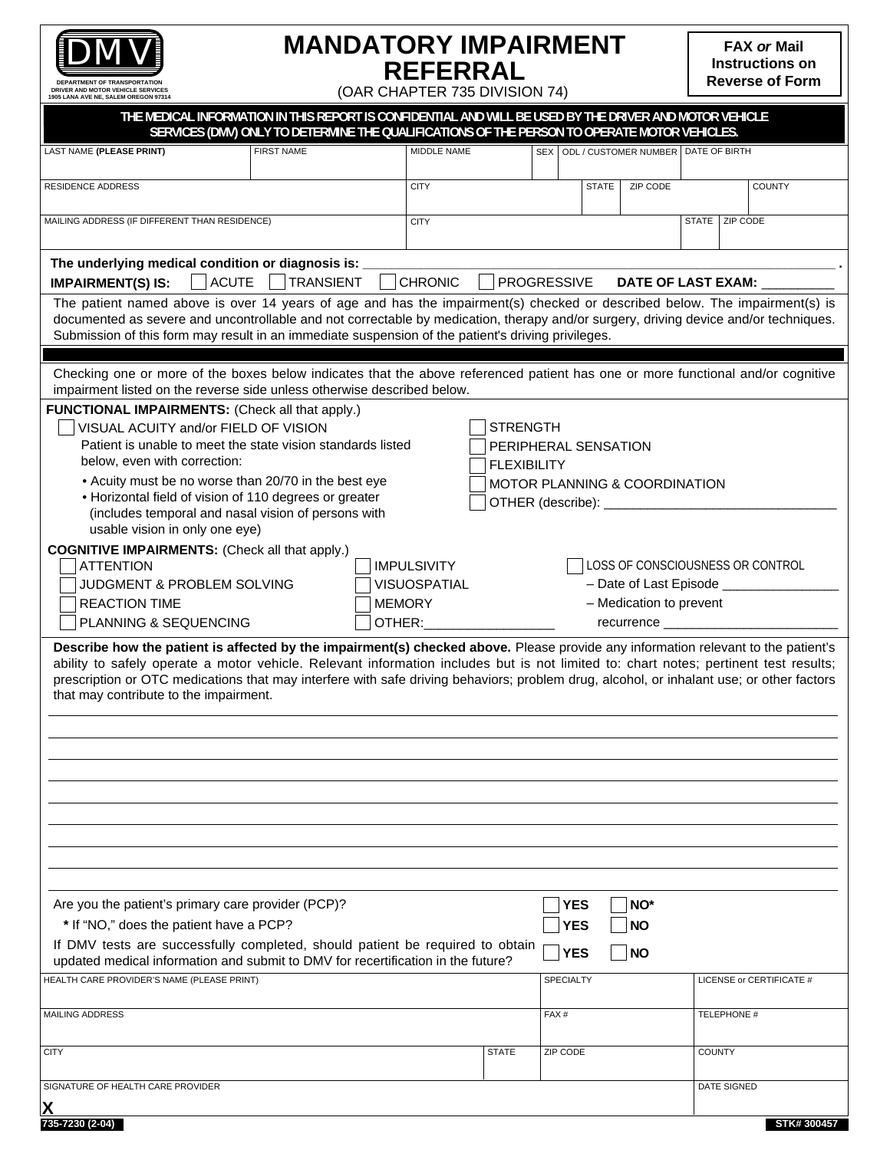

**DEPARTMENT OF TRA DRIVER AND MOTOR VEHICLE SERVICES 1905 LANA AVE NE, SALEM OREGON 97314**

# **MANDATORY IMPAIRMENT REFERRAL**

**FAX or Mail Instructions on Reverse of Form**

(OAR CHAPTER 735 DIVISION 74)

| THE MEDICAL INFORMATION IN THIS REPORT IS CONFIDENTIAL AND WILL BE USED BY THE DRIVER AND MOTOR VEHICLE                                                                                                                                                                                                                                                                                                                                                         |                                                                                              |                     |                      |                  |              |                                 |                                         |                          |
|-----------------------------------------------------------------------------------------------------------------------------------------------------------------------------------------------------------------------------------------------------------------------------------------------------------------------------------------------------------------------------------------------------------------------------------------------------------------|----------------------------------------------------------------------------------------------|---------------------|----------------------|------------------|--------------|---------------------------------|-----------------------------------------|--------------------------|
|                                                                                                                                                                                                                                                                                                                                                                                                                                                                 | SERVICES (DMV) ONLY TO DETERMINE THE QUALIFICATIONS OF THE PERSON TO OPERATE MOTOR VEHICLES. |                     |                      |                  |              |                                 |                                         |                          |
| LAST NAME (PLEASE PRINT)                                                                                                                                                                                                                                                                                                                                                                                                                                        | <b>FIRST NAME</b>                                                                            | MIDDLE NAME         |                      |                  |              |                                 | SEX ODL / CUSTOMER NUMBER DATE OF BIRTH |                          |
| <b>RESIDENCE ADDRESS</b>                                                                                                                                                                                                                                                                                                                                                                                                                                        |                                                                                              | <b>CITY</b>         |                      |                  | <b>STATE</b> | ZIP CODE                        |                                         | <b>COUNTY</b>            |
|                                                                                                                                                                                                                                                                                                                                                                                                                                                                 |                                                                                              |                     |                      |                  |              |                                 |                                         |                          |
| MAILING ADDRESS (IF DIFFERENT THAN RESIDENCE)                                                                                                                                                                                                                                                                                                                                                                                                                   |                                                                                              | <b>CITY</b>         |                      |                  |              |                                 | STATE   ZIP CODE                        |                          |
| The underlying medical condition or diagnosis is:                                                                                                                                                                                                                                                                                                                                                                                                               |                                                                                              |                     |                      |                  |              |                                 |                                         |                          |
| <b>IMPAIRMENT(S) IS:</b>                                                                                                                                                                                                                                                                                                                                                                                                                                        | ACUTE   TRANSIENT                                                                            | <b>CHRONIC</b>      | <b>PROGRESSIVE</b>   |                  |              |                                 | DATE OF LAST EXAM: ___                  |                          |
| The patient named above is over 14 years of age and has the impairment(s) checked or described below. The impairment(s) is                                                                                                                                                                                                                                                                                                                                      |                                                                                              |                     |                      |                  |              |                                 |                                         |                          |
| documented as severe and uncontrollable and not correctable by medication, therapy and/or surgery, driving device and/or techniques.<br>Submission of this form may result in an immediate suspension of the patient's driving privileges.                                                                                                                                                                                                                      |                                                                                              |                     |                      |                  |              |                                 |                                         |                          |
|                                                                                                                                                                                                                                                                                                                                                                                                                                                                 |                                                                                              |                     |                      |                  |              |                                 |                                         |                          |
| Checking one or more of the boxes below indicates that the above referenced patient has one or more functional and/or cognitive                                                                                                                                                                                                                                                                                                                                 |                                                                                              |                     |                      |                  |              |                                 |                                         |                          |
| impairment listed on the reverse side unless otherwise described below.                                                                                                                                                                                                                                                                                                                                                                                         |                                                                                              |                     |                      |                  |              |                                 |                                         |                          |
| FUNCTIONAL IMPAIRMENTS: (Check all that apply.)                                                                                                                                                                                                                                                                                                                                                                                                                 |                                                                                              |                     |                      |                  |              |                                 |                                         |                          |
| VISUAL ACUITY and/or FIELD OF VISION                                                                                                                                                                                                                                                                                                                                                                                                                            |                                                                                              |                     | <b>STRENGTH</b>      |                  |              |                                 |                                         |                          |
| Patient is unable to meet the state vision standards listed                                                                                                                                                                                                                                                                                                                                                                                                     |                                                                                              |                     | PERIPHERAL SENSATION |                  |              |                                 |                                         |                          |
| below, even with correction:                                                                                                                                                                                                                                                                                                                                                                                                                                    |                                                                                              |                     | <b>FLEXIBILITY</b>   |                  |              |                                 |                                         |                          |
| • Acuity must be no worse than 20/70 in the best eye                                                                                                                                                                                                                                                                                                                                                                                                            |                                                                                              |                     |                      |                  |              | MOTOR PLANNING & COORDINATION   |                                         |                          |
| • Horizontal field of vision of 110 degrees or greater<br>(includes temporal and nasal vision of persons with                                                                                                                                                                                                                                                                                                                                                   |                                                                                              |                     |                      |                  |              | OTHER (describe): _____________ |                                         |                          |
| usable vision in only one eye)                                                                                                                                                                                                                                                                                                                                                                                                                                  |                                                                                              |                     |                      |                  |              |                                 |                                         |                          |
| <b>COGNITIVE IMPAIRMENTS:</b> (Check all that apply.)                                                                                                                                                                                                                                                                                                                                                                                                           |                                                                                              |                     |                      |                  |              |                                 |                                         |                          |
| <b>ATTENTION</b>                                                                                                                                                                                                                                                                                                                                                                                                                                                |                                                                                              | <b>IMPULSIVITY</b>  |                      |                  |              |                                 | LOSS OF CONSCIOUSNESS OR CONTROL        |                          |
| JUDGMENT & PROBLEM SOLVING                                                                                                                                                                                                                                                                                                                                                                                                                                      |                                                                                              | <b>VISUOSPATIAL</b> |                      |                  |              |                                 | - Date of Last Episode __________       |                          |
| <b>REACTION TIME</b>                                                                                                                                                                                                                                                                                                                                                                                                                                            |                                                                                              | <b>MEMORY</b>       |                      |                  |              | - Medication to prevent         |                                         |                          |
| PLANNING & SEQUENCING                                                                                                                                                                                                                                                                                                                                                                                                                                           |                                                                                              | OTHER:              |                      |                  |              |                                 | recurrence _______________              |                          |
| Describe how the patient is affected by the impairment(s) checked above. Please provide any information relevant to the patient's<br>ability to safely operate a motor vehicle. Relevant information includes but is not limited to: chart notes; pertinent test results;<br>prescription or OTC medications that may interfere with safe driving behaviors; problem drug, alcohol, or inhalant use; or other factors<br>that may contribute to the impairment. |                                                                                              |                     |                      |                  |              |                                 |                                         |                          |
|                                                                                                                                                                                                                                                                                                                                                                                                                                                                 |                                                                                              |                     |                      |                  |              |                                 |                                         |                          |
|                                                                                                                                                                                                                                                                                                                                                                                                                                                                 |                                                                                              |                     |                      |                  |              |                                 |                                         |                          |
|                                                                                                                                                                                                                                                                                                                                                                                                                                                                 |                                                                                              |                     |                      |                  |              |                                 |                                         |                          |
|                                                                                                                                                                                                                                                                                                                                                                                                                                                                 |                                                                                              |                     |                      |                  |              |                                 |                                         |                          |
|                                                                                                                                                                                                                                                                                                                                                                                                                                                                 |                                                                                              |                     |                      |                  |              |                                 |                                         |                          |
|                                                                                                                                                                                                                                                                                                                                                                                                                                                                 |                                                                                              |                     |                      |                  |              |                                 |                                         |                          |
|                                                                                                                                                                                                                                                                                                                                                                                                                                                                 |                                                                                              |                     |                      |                  |              |                                 |                                         |                          |
|                                                                                                                                                                                                                                                                                                                                                                                                                                                                 |                                                                                              |                     |                      |                  |              |                                 |                                         |                          |
| Are you the patient's primary care provider (PCP)?                                                                                                                                                                                                                                                                                                                                                                                                              |                                                                                              |                     |                      |                  | <b>YES</b>   | NO*                             |                                         |                          |
| * If "NO," does the patient have a PCP?<br><b>YES</b><br><b>NO</b>                                                                                                                                                                                                                                                                                                                                                                                              |                                                                                              |                     |                      |                  |              |                                 |                                         |                          |
| If DMV tests are successfully completed, should patient be required to obtain                                                                                                                                                                                                                                                                                                                                                                                   |                                                                                              |                     |                      |                  |              |                                 |                                         |                          |
| <b>YES</b><br><b>NO</b><br>updated medical information and submit to DMV for recertification in the future?                                                                                                                                                                                                                                                                                                                                                     |                                                                                              |                     |                      |                  |              |                                 |                                         |                          |
| HEALTH CARE PROVIDER'S NAME (PLEASE PRINT)                                                                                                                                                                                                                                                                                                                                                                                                                      |                                                                                              |                     |                      | <b>SPECIALTY</b> |              |                                 |                                         | LICENSE or CERTIFICATE # |
| MAILING ADDRESS                                                                                                                                                                                                                                                                                                                                                                                                                                                 |                                                                                              |                     |                      | FAX#             |              |                                 | <b>TELEPHONE #</b>                      |                          |
|                                                                                                                                                                                                                                                                                                                                                                                                                                                                 |                                                                                              |                     |                      |                  |              |                                 |                                         |                          |
| <b>CITY</b>                                                                                                                                                                                                                                                                                                                                                                                                                                                     |                                                                                              |                     | <b>STATE</b>         | ZIP CODE         |              |                                 | <b>COUNTY</b>                           |                          |
|                                                                                                                                                                                                                                                                                                                                                                                                                                                                 |                                                                                              |                     |                      |                  |              |                                 |                                         |                          |
| SIGNATURE OF HEALTH CARE PROVIDER                                                                                                                                                                                                                                                                                                                                                                                                                               |                                                                                              |                     |                      |                  |              |                                 | DATE SIGNED                             |                          |

**735-7230 (2-04)**

**X**